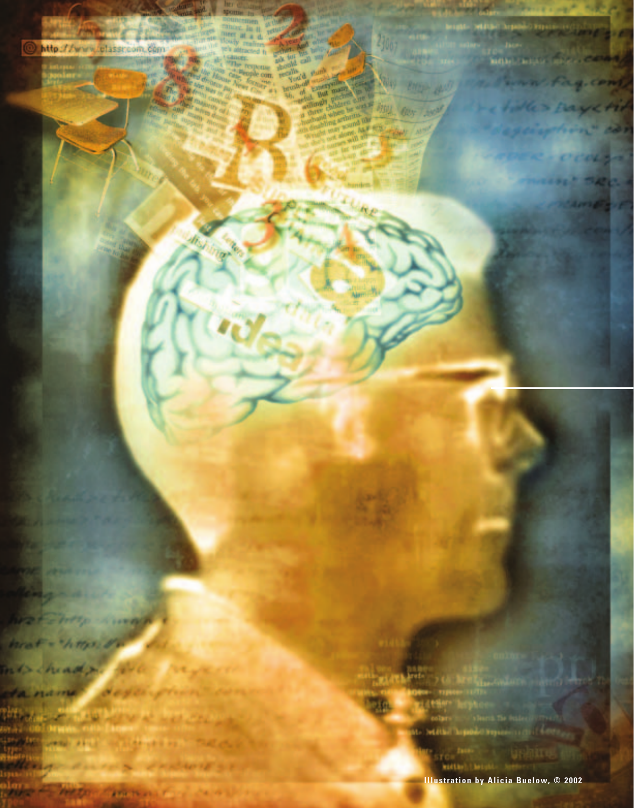

**THERE IT'S ANGELE CARE IN ALL COMPANY** 

**Illustration by Alicia Buelow, © 2002**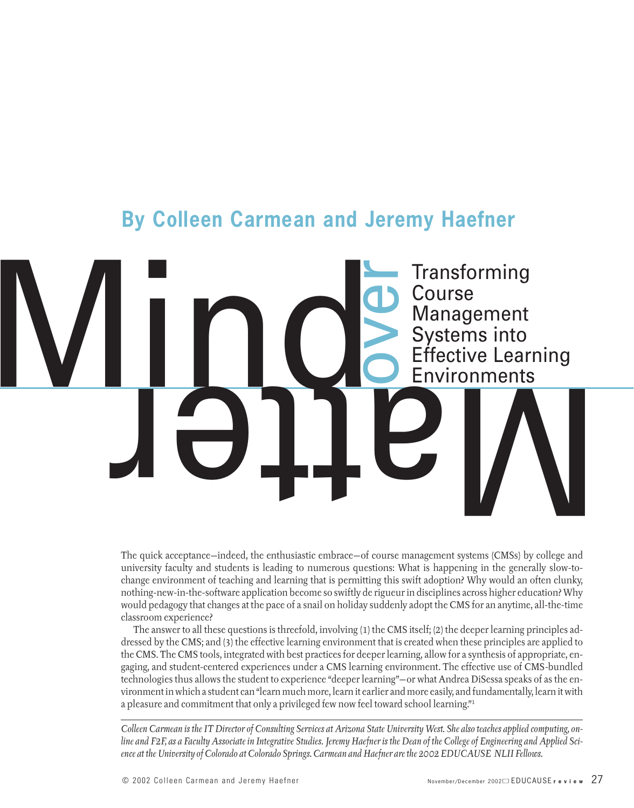# **By Colleen Carmean and Jeremy Haefner**

Mind Course **Transforming** Course Management Systems into Effective Learning Environments

> The quick acceptance—indeed, the enthusiastic embrace—of course management systems (CMSs) by college and university faculty and students is leading to numerous questions: What is happening in the generally slow-tochange environment of teaching and learning that is permitting this swift adoption? Why would an often clunky, nothing-new-in-the-software application become so swiftly de rigueur in disciplines across higher education? Why would pedagogy that changes at the pace of a snail on holiday suddenly adopt the CMS for an anytime, all-the-time classroom experience?

over

The answer to all these questions is threefold, involving (1) the CMS itself; (2) the deeper learning principles addressed by the CMS; and (3) the effective learning environment that is created when these principles are applied to the CMS. The CMS tools, integrated with best practices for deeper learning, allow for a synthesis of appropriate, engaging, and student-centered experiences under a CMS learning environment. The effective use of CMS-bundled technologies thus allows the student to experience "deeper learning"—or what Andrea DiSessa speaks of as the environment in which a student can "learn much more, learn it earlier and more easily, and fundamentally, learn it with a pleasure and commitment that only a privileged few now feel toward school learning."1

*Colleen Carmean is the IT Director of Consulting Services at Arizona State University West. She also teaches applied computing, online and F2F, as a Faculty Associate in Integrative Studies. Jeremy Haefner is the Dean of the College of Engineering and Applied Science at the University of Colorado at Colorado Springs. Carmean and Haefner are the 2002 EDUCAUSE NLII Fellows.*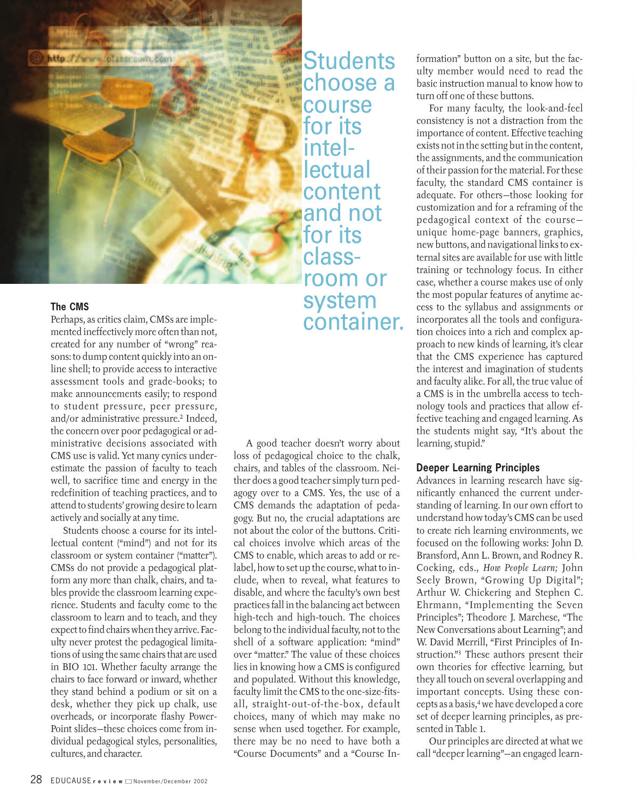

# **The CMS**

Perhaps, as critics claim, CMSs are implemented ineffectively more often than not, created for any number of "wrong" reasons: to dump content quickly into an online shell; to provide access to interactive assessment tools and grade-books; to make announcements easily; to respond to student pressure, peer pressure, and/or administrative pressure.2 Indeed, the concern over poor pedagogical or administrative decisions associated with CMS use is valid. Yet many cynics underestimate the passion of faculty to teach well, to sacrifice time and energy in the redefinition of teaching practices, and to attend to students' growing desire to learn actively and socially at any time.

Students choose a course for its intellectual content ("mind") and not for its classroom or system container ("matter"). CMSs do not provide a pedagogical platform any more than chalk, chairs, and tables provide the classroom learning experience. Students and faculty come to the classroom to learn and to teach, and they expect to find chairs when they arrive. Faculty never protest the pedagogical limitations of using the same chairs that are used in BIO 101. Whether faculty arrange the chairs to face forward or inward, whether they stand behind a podium or sit on a desk, whether they pick up chalk, use overheads, or incorporate flashy Power-Point slides—these choices come from individual pedagogical styles, personalities, cultures, and character.

**Students** choose a course for its intel**lectual** content and not **for** its classroom or system container.

A good teacher doesn't worry about loss of pedagogical choice to the chalk, chairs, and tables of the classroom. Neither does a good teacher simply turn pedagogy over to a CMS. Yes, the use of a CMS demands the adaptation of pedagogy. But no, the crucial adaptations are not about the color of the buttons. Critical choices involve which areas of the CMS to enable, which areas to add or relabel, how to set up the course, what to include, when to reveal, what features to disable, and where the faculty's own best practices fall in the balancing act between high-tech and high-touch. The choices belong to the individual faculty, not to the shell of a software application: "mind" over "matter." The value of these choices lies in knowing how a CMS is configured and populated. Without this knowledge, faculty limit the CMS to the one-size-fitsall, straight-out-of-the-box, default choices, many of which may make no sense when used together. For example, there may be no need to have both a "Course Documents" and a "Course Information" button on a site, but the faculty member would need to read the basic instruction manual to know how to turn off one of these buttons.

For many faculty, the look-and-feel consistency is not a distraction from the importance of content. Effective teaching exists not in the setting but in the content, the assignments, and the communication of their passion for the material. For these faculty, the standard CMS container is adequate. For others—those looking for customization and for a reframing of the pedagogical context of the course unique home-page banners, graphics, new buttons, and navigational links to external sites are available for use with little training or technology focus. In either case, whether a course makes use of only the most popular features of anytime access to the syllabus and assignments or incorporates all the tools and configuration choices into a rich and complex approach to new kinds of learning, it's clear that the CMS experience has captured the interest and imagination of students and faculty alike. For all, the true value of a CMS is in the umbrella access to technology tools and practices that allow effective teaching and engaged learning. As the students might say, "It's about the learning, stupid."

# **Deeper Learning Principles**

Advances in learning research have significantly enhanced the current understanding of learning. In our own effort to understand how today's CMS can be used to create rich learning environments, we focused on the following works: John D. Bransford, Ann L. Brown, and Rodney R. Cocking, eds., *How People Learn;* John Seely Brown, "Growing Up Digital"; Arthur W. Chickering and Stephen C. Ehrmann, "Implementing the Seven Principles"; Theodore J. Marchese, "The New Conversations about Learning"; and W. David Merrill, "First Principles of Instruction."3 These authors present their own theories for effective learning, but they all touch on several overlapping and important concepts. Using these concepts as a basis,4 we have developed a core set of deeper learning principles, as presented in Table 1.

Our principles are directed at what we call "deeper learning"—an engaged learn-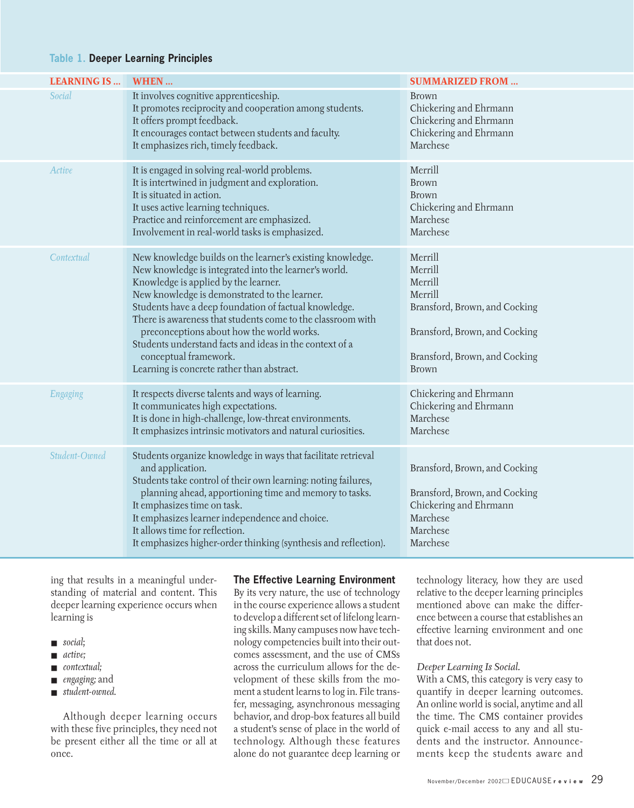# **Table 1. Deeper Learning Principles**

| <b>LEARNING IS</b> | WHEN                                                                                                                                                                                                                                                                                                                                                                                                                                                                                                               | <b>SUMMARIZED FROM </b>                                                                                                                              |
|--------------------|--------------------------------------------------------------------------------------------------------------------------------------------------------------------------------------------------------------------------------------------------------------------------------------------------------------------------------------------------------------------------------------------------------------------------------------------------------------------------------------------------------------------|------------------------------------------------------------------------------------------------------------------------------------------------------|
| Social             | It involves cognitive apprenticeship.<br>It promotes reciprocity and cooperation among students.<br>It offers prompt feedback.<br>It encourages contact between students and faculty.<br>It emphasizes rich, timely feedback.                                                                                                                                                                                                                                                                                      | Brown<br>Chickering and Ehrmann<br>Chickering and Ehrmann<br>Chickering and Ehrmann<br>Marchese                                                      |
| Active             | It is engaged in solving real-world problems.<br>It is intertwined in judgment and exploration.<br>It is situated in action.<br>It uses active learning techniques.<br>Practice and reinforcement are emphasized.<br>Involvement in real-world tasks is emphasized.                                                                                                                                                                                                                                                | Merrill<br><b>Brown</b><br><b>Brown</b><br>Chickering and Ehrmann<br>Marchese<br>Marchese                                                            |
| Contextual         | New knowledge builds on the learner's existing knowledge.<br>New knowledge is integrated into the learner's world.<br>Knowledge is applied by the learner.<br>New knowledge is demonstrated to the learner.<br>Students have a deep foundation of factual knowledge.<br>There is awareness that students come to the classroom with<br>preconceptions about how the world works.<br>Students understand facts and ideas in the context of a<br>conceptual framework.<br>Learning is concrete rather than abstract. | Merrill<br>Merrill<br>Merrill<br>Merrill<br>Bransford, Brown, and Cocking<br>Bransford, Brown, and Cocking<br>Bransford, Brown, and Cocking<br>Brown |
| Engaging           | It respects diverse talents and ways of learning.<br>It communicates high expectations.<br>It is done in high-challenge, low-threat environments.<br>It emphasizes intrinsic motivators and natural curiosities.                                                                                                                                                                                                                                                                                                   | Chickering and Ehrmann<br>Chickering and Ehrmann<br>Marchese<br>Marchese                                                                             |
| Student-Owned      | Students organize knowledge in ways that facilitate retrieval<br>and application.<br>Students take control of their own learning: noting failures,<br>planning ahead, apportioning time and memory to tasks.<br>It emphasizes time on task.<br>It emphasizes learner independence and choice.<br>It allows time for reflection.<br>It emphasizes higher-order thinking (synthesis and reflection).                                                                                                                 | Bransford, Brown, and Cocking<br>Bransford, Brown, and Cocking<br>Chickering and Ehrmann<br>Marchese<br>Marchese<br>Marchese                         |

ing that results in a meaningful understanding of material and content. This deeper learning experience occurs when learning is

- *social*;
- *active;*
- *contextual;*
- *engaging;* and
- *student-owned.*

Although deeper learning occurs with these five principles, they need not be present either all the time or all at once.

#### **The Effective Learning Environment**

By its very nature, the use of technology in the course experience allows a student to develop a different set of lifelong learning skills. Many campuses now have technology competencies built into their outcomes assessment, and the use of CMSs across the curriculum allows for the development of these skills from the moment a student learns to log in. File transfer, messaging, asynchronous messaging behavior, and drop-box features all build a student's sense of place in the world of technology. Although these features alone do not guarantee deep learning or technology literacy, how they are used relative to the deeper learning principles mentioned above can make the difference between a course that establishes an effective learning environment and one that does not.

#### *Deeper Learning Is Social.*

With a CMS, this category is very easy to quantify in deeper learning outcomes. An online world is social, anytime and all the time. The CMS container provides quick e-mail access to any and all students and the instructor. Announcements keep the students aware and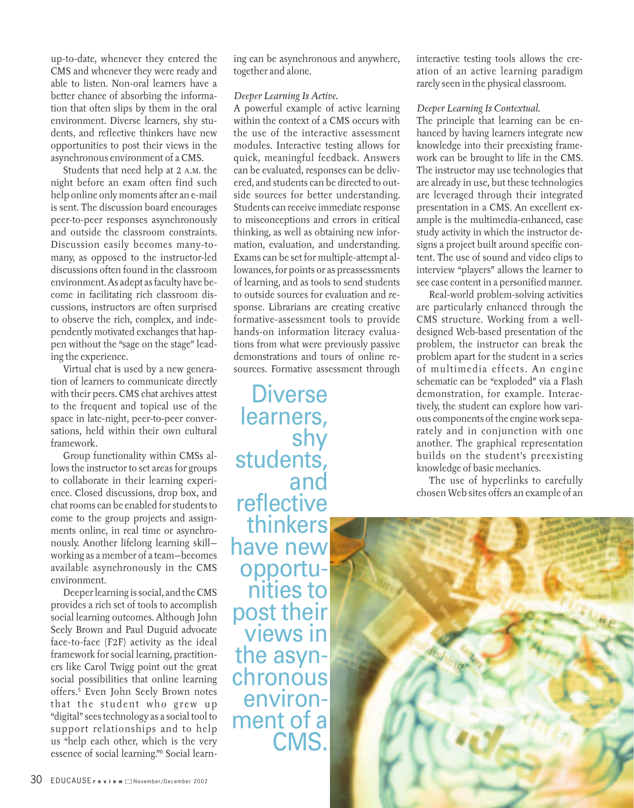up-to-date, whenever they entered the CMS and whenever they were ready and able to listen. Non-oral learners have a better chance of absorbing the information that often slips by them in the oral environment. Diverse learners, shy students, and reflective thinkers have new opportunities to post their views in the asynchronous environment of a CMS.

Students that need help at 2 A.M. the night before an exam often find such help online only moments after an e-mail is sent. The discussion board encourages peer-to-peer responses asynchronously and outside the classroom constraints. Discussion easily becomes many-tomany, as opposed to the instructor-led discussions often found in the classroom environment. As adept as faculty have become in facilitating rich classroom discussions, instructors are often surprised to observe the rich, complex, and independently motivated exchanges that happen without the "sage on the stage" leading the experience.

Virtual chat is used by a new generation of learners to communicate directly with their peers. CMS chat archives attest to the frequent and topical use of the space in late-night, peer-to-peer conversations, held within their own cultural framework.

Group functionality within CMSs allows the instructor to set areas for groups to collaborate in their learning experience. Closed discussions, drop box, and chat rooms can be enabled for students to come to the group projects and assignments online, in real time or asynchronously. Another lifelong learning skill working as a member of a team—becomes available asynchronously in the CMS environment.

Deeper learning is social, and the CMS provides a rich set of tools to accomplish social learning outcomes. Although John Seely Brown and Paul Duguid advocate face-to-face (F2F) activity as the ideal framework for social learning, practitioners like Carol Twigg point out the great social possibilities that online learning offers.5 Even John Seely Brown notes that the student who grew up "digital" sees technology as a social tool to support relationships and to help us "help each other, which is the very essence of social learning."6 Social learning can be asynchronous and anywhere, together and alone.

#### *Deeper Learning Is Active.*

A powerful example of active learning within the context of a CMS occurs with the use of the interactive assessment modules. Interactive testing allows for quick, meaningful feedback. Answers can be evaluated, responses can be delivered, and students can be directed to outside sources for better understanding. Students can receive immediate response to misconceptions and errors in critical thinking, as well as obtaining new information, evaluation, and understanding. Exams can be set for multiple-attempt allowances, for points or as preassessments of learning, and as tools to send students to outside sources for evaluation and response. Librarians are creating creative formative-assessment tools to provide hands-on information literacy evaluations from what were previously passive demonstrations and tours of online resources. Formative assessment through

**Diverse** learners, shy<br>,students and reflective thinkers have new opportunities to post their views in the asynchronous environment of a CMS.

interactive testing tools allows the creation of an active learning paradigm rarely seen in the physical classroom.

### *Deeper Learning Is Contextual.*

The principle that learning can be enhanced by having learners integrate new knowledge into their preexisting framework can be brought to life in the CMS. The instructor may use technologies that are already in use, but these technologies are leveraged through their integrated presentation in a CMS. An excellent example is the multimedia-enhanced, case study activity in which the instructor designs a project built around specific content. The use of sound and video clips to interview "players" allows the learner to see case content in a personified manner.

Real-world problem-solving activities are particularly enhanced through the CMS structure. Working from a welldesigned Web-based presentation of the problem, the instructor can break the problem apart for the student in a series of multimedia effects. An engine schematic can be "exploded" via a Flash demonstration, for example. Interactively, the student can explore how various components of the engine work separately and in conjunction with one another. The graphical representation builds on the student's preexisting knowledge of basic mechanics.

The use of hyperlinks to carefully chosen Web sites offers an example of an

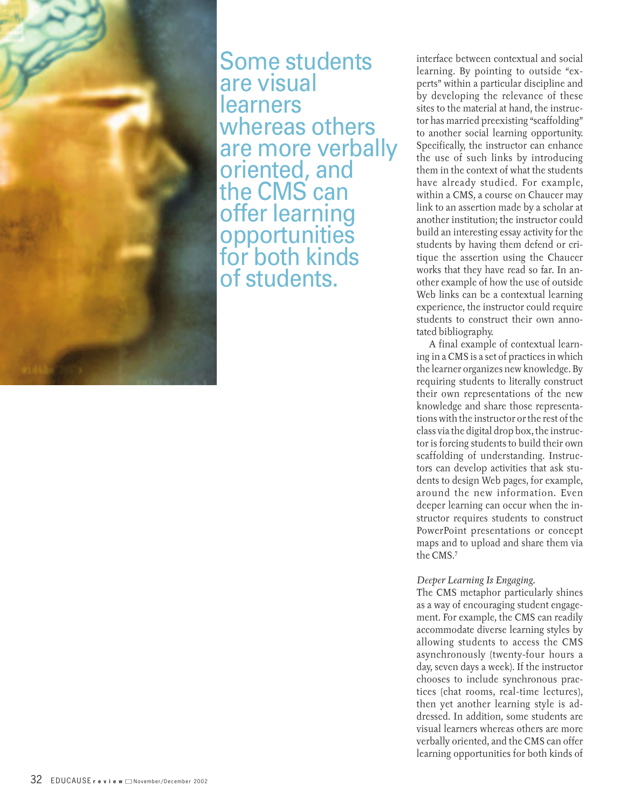

Some students are visual learners whereas others are more verbally oriented, and the CMS can offer learning opportunities for both kinds of students.

interface between contextual and social learning. By pointing to outside "experts" within a particular discipline and by developing the relevance of these sites to the material at hand, the instructor has married preexisting "scaffolding" to another social learning opportunity. Specifically, the instructor can enhance the use of such links by introducing them in the context of what the students have already studied. For example, within a CMS, a course on Chaucer may link to an assertion made by a scholar at another institution; the instructor could build an interesting essay activity for the students by having them defend or critique the assertion using the Chaucer works that they have read so far. In another example of how the use of outside Web links can be a contextual learning experience, the instructor could require students to construct their own annotated bibliography.

A final example of contextual learning in a CMS is a set of practices in which the learner organizes new knowledge. By requiring students to literally construct their own representations of the new knowledge and share those representations with the instructor or the rest of the class via the digital drop box, the instructor is forcing students to build their own scaffolding of understanding. Instructors can develop activities that ask students to design Web pages, for example, around the new information. Even deeper learning can occur when the instructor requires students to construct PowerPoint presentations or concept maps and to upload and share them via the CMS.7

# *Deeper Learning Is Engaging.*

The CMS metaphor particularly shines as a way of encouraging student engagement. For example, the CMS can readily accommodate diverse learning styles by allowing students to access the CMS asynchronously (twenty-four hours a day, seven days a week). If the instructor chooses to include synchronous practices (chat rooms, real-time lectures), then yet another learning style is addressed. In addition, some students are visual learners whereas others are more verbally oriented, and the CMS can offer learning opportunities for both kinds of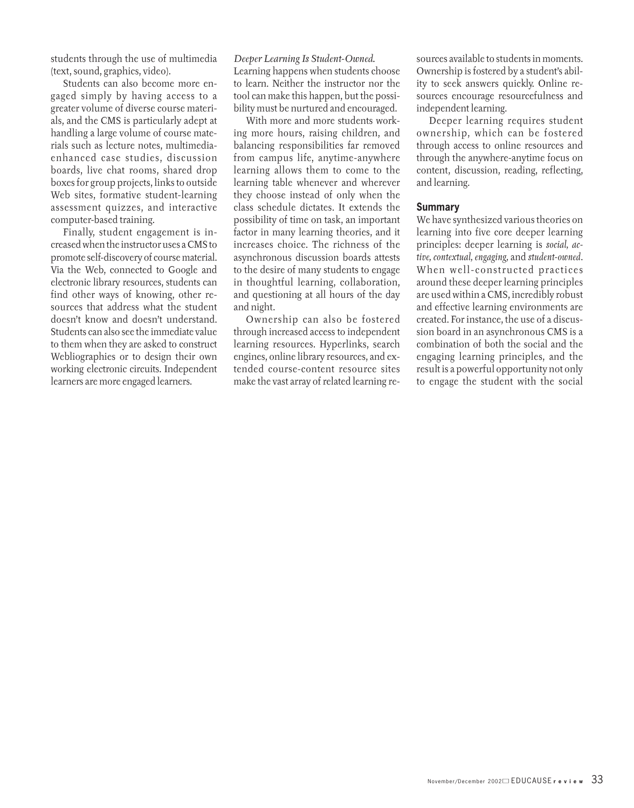students through the use of multimedia (text, sound, graphics, video).

Students can also become more engaged simply by having access to a greater volume of diverse course materials, and the CMS is particularly adept at handling a large volume of course materials such as lecture notes, multimediaenhanced case studies, discussion boards, live chat rooms, shared drop boxes for group projects, links to outside Web sites, formative student-learning assessment quizzes, and interactive computer-based training.

Finally, student engagement is increased when the instructor uses a CMS to promote self-discovery of course material. Via the Web, connected to Google and electronic library resources, students can find other ways of knowing, other resources that address what the student doesn't know and doesn't understand. Students can also see the immediate value to them when they are asked to construct Webliographies or to design their own working electronic circuits. Independent learners are more engaged learners.

*Deeper Learning Is Student-Owned.*

Learning happens when students choose to learn. Neither the instructor nor the tool can make this happen, but the possibility must be nurtured and encouraged.

With more and more students working more hours, raising children, and balancing responsibilities far removed from campus life, anytime-anywhere learning allows them to come to the learning table whenever and wherever they choose instead of only when the class schedule dictates. It extends the possibility of time on task, an important factor in many learning theories, and it increases choice. The richness of the asynchronous discussion boards attests to the desire of many students to engage in thoughtful learning, collaboration, and questioning at all hours of the day and night.

Ownership can also be fostered through increased access to independent learning resources. Hyperlinks, search engines, online library resources, and extended course-content resource sites make the vast array of related learning resources available to students in moments. Ownership is fostered by a student's ability to seek answers quickly. Online resources encourage resourcefulness and independent learning.

Deeper learning requires student ownership, which can be fostered through access to online resources and through the anywhere-anytime focus on content, discussion, reading, reflecting, and learning.

# **Summary**

We have synthesized various theories on learning into five core deeper learning principles: deeper learning is *social, active, contextual, engaging,* and *student-owned*. When well-constructed practices around these deeper learning principles are used within a CMS, incredibly robust and effective learning environments are created. For instance, the use of a discussion board in an asynchronous CMS is a combination of both the social and the engaging learning principles, and the result is a powerful opportunity not only to engage the student with the social